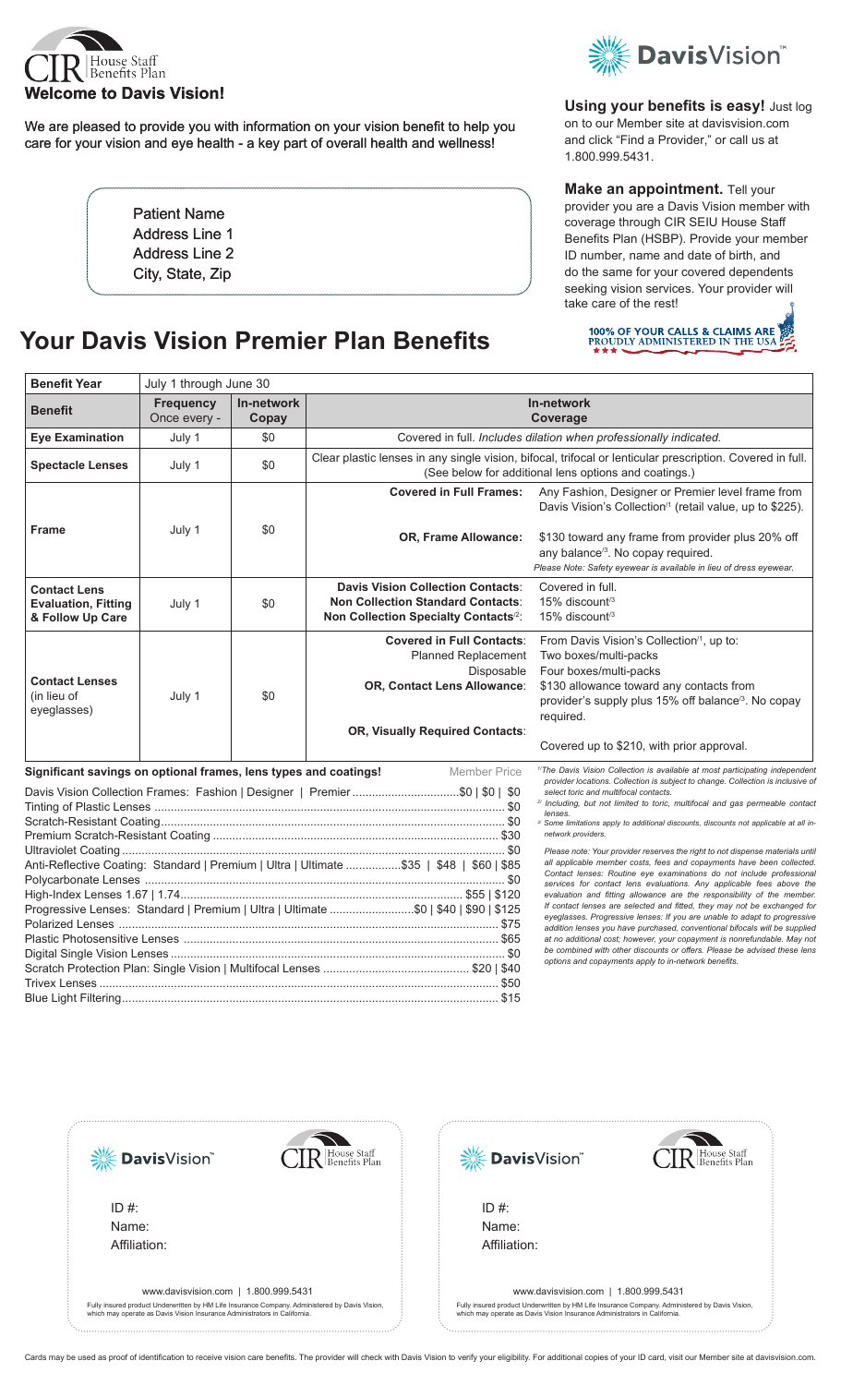

We are pleased to provide you with information on your vision benefit to help you care for your vision and eye health - a key part of overall health and wellness!

> Patient Name Address Line 1 Address Line 2 City, State, Zip

# **Your Davis Vision Premier Plan Benefits**



**Using your benefits is easy! Just log** on to our Member site at davisvision.com and click "Find a Provider," or call us at 1.800.999.5431.

**Make an appointment.** Tell your provider you are a Davis Vision member with coverage through CIR SEIU House Staff Benefits Plan (HSBP). Provide your member ID number, name and date of birth, and do the same for your covered dependents seeking vision services. Your provider will take care of the rest!



| <b>Benefit Year</b>                                                                                                                                                             | July 1 through June 30           |                     |                                                                                                                                                                    |                                                                                                                                                                                                                                                                                                                                                                                                                                                                                                                                                                                                                                                                                                                                                                                                                                         |
|---------------------------------------------------------------------------------------------------------------------------------------------------------------------------------|----------------------------------|---------------------|--------------------------------------------------------------------------------------------------------------------------------------------------------------------|-----------------------------------------------------------------------------------------------------------------------------------------------------------------------------------------------------------------------------------------------------------------------------------------------------------------------------------------------------------------------------------------------------------------------------------------------------------------------------------------------------------------------------------------------------------------------------------------------------------------------------------------------------------------------------------------------------------------------------------------------------------------------------------------------------------------------------------------|
| <b>Benefit</b>                                                                                                                                                                  | <b>Frequency</b><br>Once every - | In-network<br>Copay | In-network<br>Coverage                                                                                                                                             |                                                                                                                                                                                                                                                                                                                                                                                                                                                                                                                                                                                                                                                                                                                                                                                                                                         |
| <b>Eye Examination</b>                                                                                                                                                          | July 1                           | \$0                 | Covered in full. Includes dilation when professionally indicated.                                                                                                  |                                                                                                                                                                                                                                                                                                                                                                                                                                                                                                                                                                                                                                                                                                                                                                                                                                         |
| <b>Spectacle Lenses</b>                                                                                                                                                         | July 1                           | \$0                 | Clear plastic lenses in any single vision, bifocal, trifocal or lenticular prescription. Covered in full.<br>(See below for additional lens options and coatings.) |                                                                                                                                                                                                                                                                                                                                                                                                                                                                                                                                                                                                                                                                                                                                                                                                                                         |
| <b>Frame</b>                                                                                                                                                                    | July 1                           | \$0                 | <b>Covered in Full Frames:</b><br><b>OR, Frame Allowance:</b>                                                                                                      | Any Fashion, Designer or Premier level frame from<br>Davis Vision's Collection <sup>/1</sup> (retail value, up to \$225).<br>\$130 toward any frame from provider plus 20% off<br>any balance <sup>/3</sup> . No copay required.<br>Please Note: Safety eyewear is available in lieu of dress eyewear.                                                                                                                                                                                                                                                                                                                                                                                                                                                                                                                                  |
| <b>Contact Lens</b><br><b>Evaluation, Fitting</b><br>& Follow Up Care                                                                                                           | July 1                           | \$0                 | <b>Davis Vision Collection Contacts:</b><br><b>Non Collection Standard Contacts:</b><br>Non Collection Specialty Contacts <sup>/2</sup> :                          | Covered in full.<br>$15\%$ discount <sup>/3</sup><br>15% discount <sup>/3</sup>                                                                                                                                                                                                                                                                                                                                                                                                                                                                                                                                                                                                                                                                                                                                                         |
| <b>Contact Lenses</b><br>(in lieu of<br>eyeglasses)                                                                                                                             | July 1                           | \$0                 | <b>Covered in Full Contacts:</b><br><b>Planned Replacement</b><br>Disposable<br>OR, Contact Lens Allowance:<br>OR, Visually Required Contacts:                     | From Davis Vision's Collection <sup>/1</sup> , up to:<br>Two boxes/multi-packs<br>Four boxes/multi-packs<br>\$130 allowance toward any contacts from<br>provider's supply plus 15% off balance <sup>/3</sup> . No copay<br>required.<br>Covered up to \$210, with prior approval.                                                                                                                                                                                                                                                                                                                                                                                                                                                                                                                                                       |
| Significant savings on optional frames, lens types and coatings!<br><b>Member Price</b>                                                                                         |                                  |                     |                                                                                                                                                                    | <sup>1/</sup> The Davis Vision Collection is available at most participating independent<br>provider locations. Collection is subject to change. Collection is inclusive of<br>select toric and multifocal contacts.<br><sup>2/</sup> Including, but not limited to toric, multifocal and gas permeable contact<br>lenses.<br><sup>3/</sup> Some limitations apply to additional discounts, discounts not applicable at all in-<br>network providers.                                                                                                                                                                                                                                                                                                                                                                                   |
|                                                                                                                                                                                 |                                  |                     |                                                                                                                                                                    |                                                                                                                                                                                                                                                                                                                                                                                                                                                                                                                                                                                                                                                                                                                                                                                                                                         |
| Anti-Reflective Coating: Standard   Premium   Ultra   Ultimate \$35   \$48   \$60   \$85<br>Progressive Lenses: Standard   Premium   Ultra   Ultimate \$0   \$40   \$90   \$125 |                                  |                     |                                                                                                                                                                    | Please note: Your provider reserves the right to not dispense materials until<br>all applicable member costs, fees and copayments have been collected.<br>Contact lenses: Routine eye examinations do not include professional<br>services for contact lens evaluations. Any applicable fees above the<br>evaluation and fitting allowance are the responsibility of the member.<br>If contact lenses are selected and fitted, they may not be exchanged for<br>eyeglasses. Progressive lenses: If you are unable to adapt to progressive<br>addition lenses you have purchased, conventional bifocals will be supplied<br>at no additional cost; however, your copayment is nonrefundable. May not<br>be combined with other discounts or offers. Please be advised these lens<br>options and copayments apply to in-network benefits. |



ID #: Name: Affiliation:

Fully insured product Underwritten by HM Life Insurance Company. Administered by Davis Vision, which may operate as Davis Vision Insurance Administrators in California.





ID #: Name: Affiliation:



Cards may be used as proof of identification to receive vision care benefits. The provider will check with Davis Vision to verify your eligibility. For additional copies of your ID card, visit our Member site at davisvisio

R House Staff